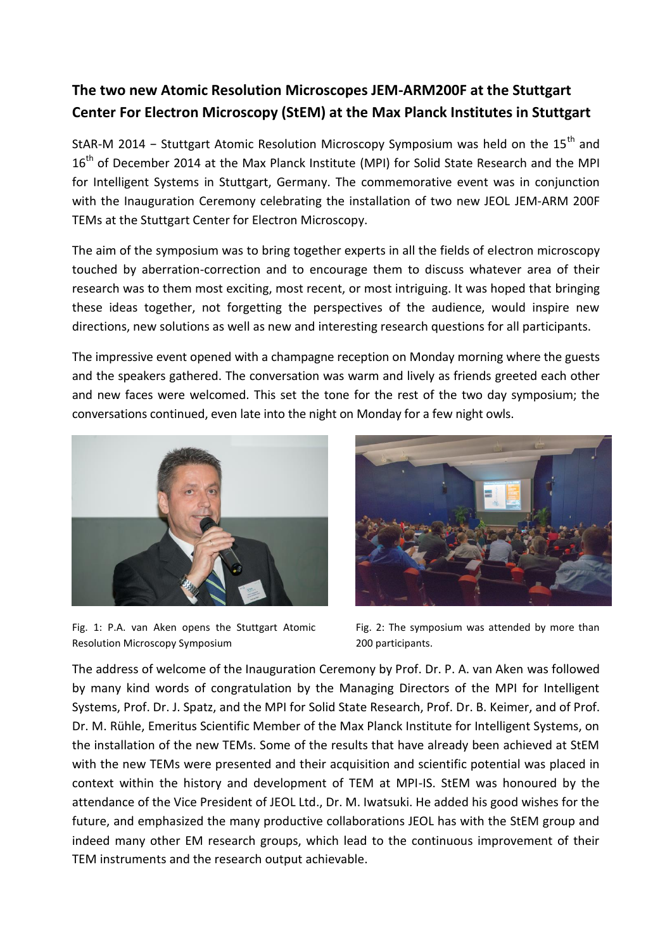## **The two new Atomic Resolution Microscopes JEM-ARM200F at the Stuttgart Center For Electron Microscopy (StEM) at the Max Planck Institutes in Stuttgart**

StAR-M 2014 - Stuttgart Atomic Resolution Microscopy Symposium was held on the 15<sup>th</sup> and 16<sup>th</sup> of December 2014 at the Max Planck Institute (MPI) for Solid State Research and the MPI for Intelligent Systems in Stuttgart, Germany. The commemorative event was in conjunction with the Inauguration Ceremony celebrating the installation of two new JEOL JEM-ARM 200F TEMs at the Stuttgart Center for Electron Microscopy.

The aim of the symposium was to bring together experts in all the fields of electron microscopy touched by aberration-correction and to encourage them to discuss whatever area of their research was to them most exciting, most recent, or most intriguing. It was hoped that bringing these ideas together, not forgetting the perspectives of the audience, would inspire new directions, new solutions as well as new and interesting research questions for all participants.

The impressive event opened with a champagne reception on Monday morning where the guests and the speakers gathered. The conversation was warm and lively as friends greeted each other and new faces were welcomed. This set the tone for the rest of the two day symposium; the conversations continued, even late into the night on Monday for a few night owls.



Fig. 1: P.A. van Aken opens the Stuttgart Atomic Resolution Microscopy Symposium



Fig. 2: The symposium was attended by more than 200 participants.

The address of welcome of the Inauguration Ceremony by Prof. Dr. P. A. van Aken was followed by many kind words of congratulation by the Managing Directors of the MPI for Intelligent Systems, Prof. Dr. J. Spatz, and the MPI for Solid State Research, Prof. Dr. B. Keimer, and of Prof. Dr. M. Rühle, Emeritus Scientific Member of the Max Planck Institute for Intelligent Systems, on the installation of the new TEMs. Some of the results that have already been achieved at StEM with the new TEMs were presented and their acquisition and scientific potential was placed in context within the history and development of TEM at MPI-IS. StEM was honoured by the attendance of the Vice President of JEOL Ltd., Dr. M. Iwatsuki. He added his good wishes for the future, and emphasized the many productive collaborations JEOL has with the StEM group and indeed many other EM research groups, which lead to the continuous improvement of their TEM instruments and the research output achievable.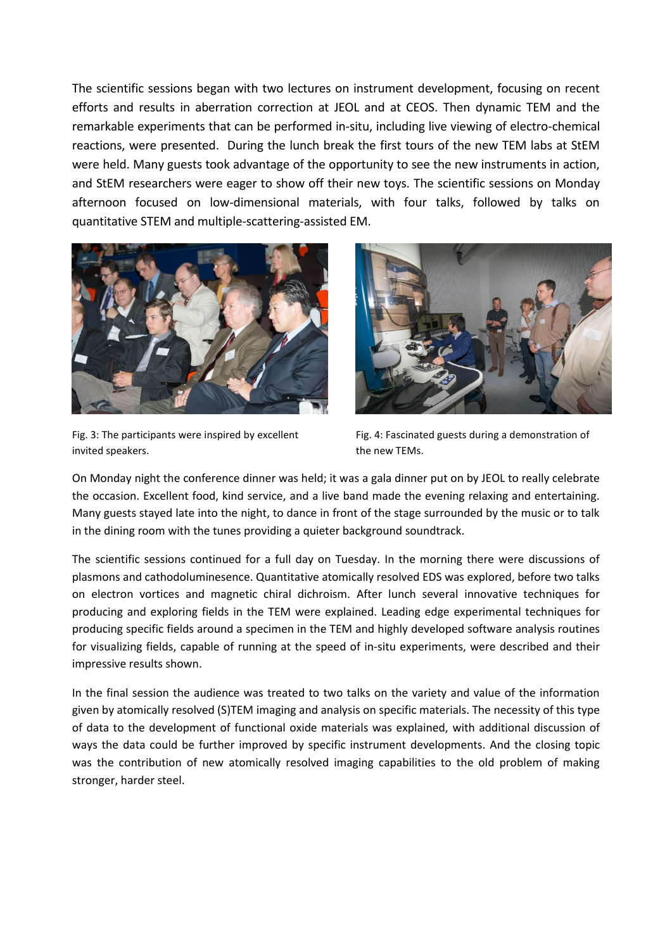The scientific sessions began with two lectures on instrument development, focusing on recent efforts and results in aberration correction at JEOL and at CEOS. Then dynamic TEM and the remarkable experiments that can be performed in-situ, including live viewing of electro-chemical reactions, were presented. During the lunch break the first tours of the new TEM labs at StEM were held. Many guests took advantage of the opportunity to see the new instruments in action, and StEM researchers were eager to show off their new toys. The scientific sessions on Monday afternoon focused on low-dimensional materials, with four talks, followed by talks on quantitative STEM and multiple-scattering-assisted EM.



Fig. 3: The participants were inspired by excellent invited speakers.



Fig. 4: Fascinated guests during a demonstration of the new TEMs.

On Monday night the conference dinner was held; it was a gala dinner put on by JEOL to really celebrate the occasion. Excellent food, kind service, and a live band made the evening relaxing and entertaining. Many guests stayed late into the night, to dance in front of the stage surrounded by the music or to talk in the dining room with the tunes providing a quieter background soundtrack.

The scientific sessions continued for a full day on Tuesday. In the morning there were discussions of plasmons and cathodoluminesence. Quantitative atomically resolved EDS was explored, before two talks on electron vortices and magnetic chiral dichroism. After lunch several innovative techniques for producing and exploring fields in the TEM were explained. Leading edge experimental techniques for producing specific fields around a specimen in the TEM and highly developed software analysis routines for visualizing fields, capable of running at the speed of in-situ experiments, were described and their impressive results shown.

In the final session the audience was treated to two talks on the variety and value of the information given by atomically resolved (S)TEM imaging and analysis on specific materials. The necessity of this type of data to the development of functional oxide materials was explained, with additional discussion of ways the data could be further improved by specific instrument developments. And the closing topic was the contribution of new atomically resolved imaging capabilities to the old problem of making stronger, harder steel.